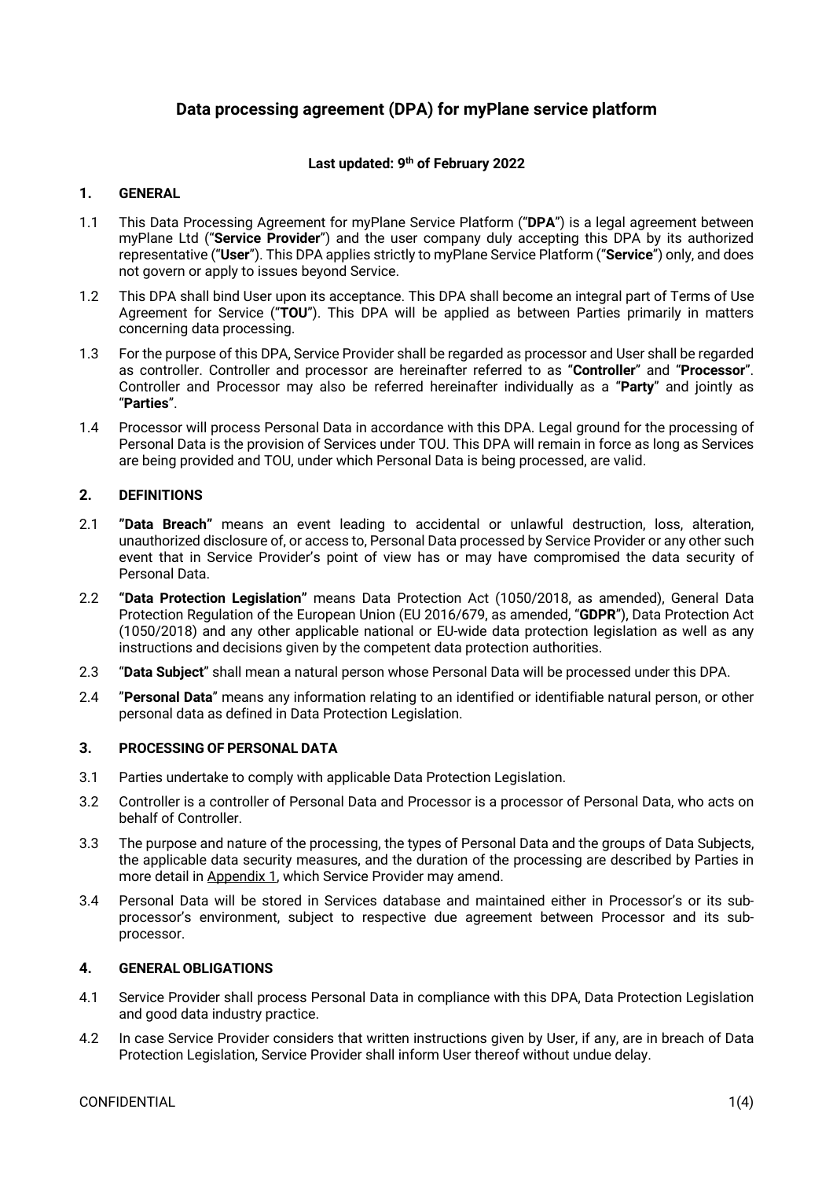# **Data processing agreement (DPA) for myPlane service platform**

## **Last updated: 9th of February 2022**

## **1. GENERAL**

- 1.1 This Data Processing Agreement for myPlane Service Platform ("**DPA**") is a legal agreement between myPlane Ltd ("**Service Provider**") and the user company duly accepting this DPA by its authorized representative ("**User**"). This DPA applies strictly to myPlane Service Platform ("**Service**") only, and does not govern or apply to issues beyond Service.
- 1.2 This DPA shall bind User upon its acceptance. This DPA shall become an integral part of Terms of Use Agreement for Service ("**TOU**"). This DPA will be applied as between Parties primarily in matters concerning data processing.
- 1.3 For the purpose of this DPA, Service Provider shall be regarded as processor and User shall be regarded as controller. Controller and processor are hereinafter referred to as "**Controller**" and "**Processor**". Controller and Processor may also be referred hereinafter individually as a "**Party**" and jointly as "**Parties**".
- 1.4 Processor will process Personal Data in accordance with this DPA. Legal ground for the processing of Personal Data is the provision of Services under TOU. This DPA will remain in force as long as Services are being provided and TOU, under which Personal Data is being processed, are valid.

## **2. DEFINITIONS**

- 2.1 **"Data Breach"** means an event leading to accidental or unlawful destruction, loss, alteration, unauthorized disclosure of, or access to, Personal Data processed by Service Provider or any other such event that in Service Provider's point of view has or may have compromised the data security of Personal Data.
- 2.2 **"Data Protection Legislation"** means Data Protection Act (1050/2018, as amended), General Data Protection Regulation of the European Union (EU 2016/679, as amended, "**GDPR**"), Data Protection Act (1050/2018) and any other applicable national or EU-wide data protection legislation as well as any instructions and decisions given by the competent data protection authorities.
- 2.3 "**Data Subject**" shall mean a natural person whose Personal Data will be processed under this DPA.
- 2.4 "**Personal Data**" means any information relating to an identified or identifiable natural person, or other personal data as defined in Data Protection Legislation.

## **3. PROCESSING OF PERSONAL DATA**

- 3.1 Parties undertake to comply with applicable Data Protection Legislation.
- 3.2 Controller is a controller of Personal Data and Processor is a processor of Personal Data, who acts on behalf of Controller.
- 3.3 The purpose and nature of the processing, the types of Personal Data and the groups of Data Subjects, the applicable data security measures, and the duration of the processing are described by Parties in more detail in Appendix 1, which Service Provider may amend.
- 3.4 Personal Data will be stored in Services database and maintained either in Processor's or its subprocessor's environment, subject to respective due agreement between Processor and its subprocessor.

## **4. GENERAL OBLIGATIONS**

- 4.1 Service Provider shall process Personal Data in compliance with this DPA, Data Protection Legislation and good data industry practice.
- 4.2 In case Service Provider considers that written instructions given by User, if any, are in breach of Data Protection Legislation, Service Provider shall inform User thereof without undue delay.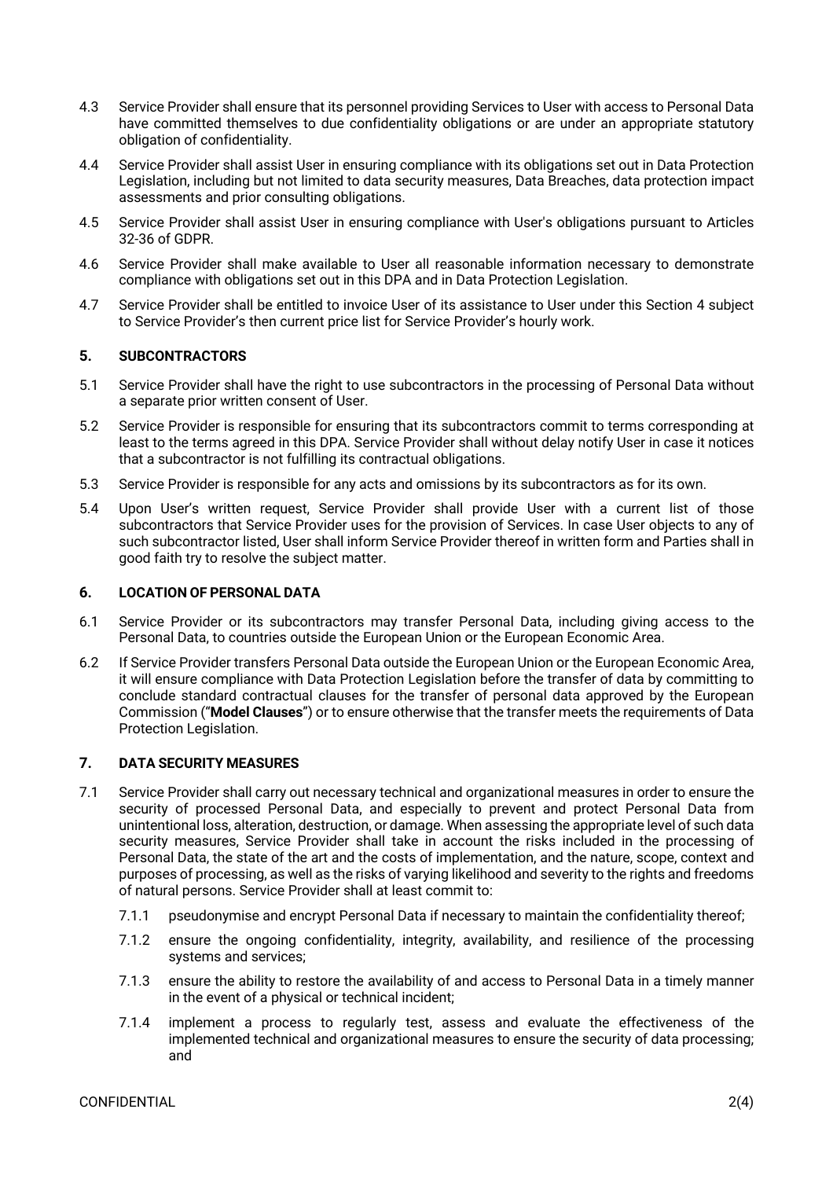- 4.3 Service Provider shall ensure that its personnel providing Services to User with access to Personal Data have committed themselves to due confidentiality obligations or are under an appropriate statutory obligation of confidentiality.
- 4.4 Service Provider shall assist User in ensuring compliance with its obligations set out in Data Protection Legislation, including but not limited to data security measures, Data Breaches, data protection impact assessments and prior consulting obligations.
- 4.5 Service Provider shall assist User in ensuring compliance with User's obligations pursuant to Articles 32-36 of GDPR.
- 4.6 Service Provider shall make available to User all reasonable information necessary to demonstrate compliance with obligations set out in this DPA and in Data Protection Legislation.
- 4.7 Service Provider shall be entitled to invoice User of its assistance to User under this Section 4 subject to Service Provider's then current price list for Service Provider's hourly work.

## **5. SUBCONTRACTORS**

- 5.1 Service Provider shall have the right to use subcontractors in the processing of Personal Data without a separate prior written consent of User.
- 5.2 Service Provider is responsible for ensuring that its subcontractors commit to terms corresponding at least to the terms agreed in this DPA. Service Provider shall without delay notify User in case it notices that a subcontractor is not fulfilling its contractual obligations.
- 5.3 Service Provider is responsible for any acts and omissions by its subcontractors as for its own.
- 5.4 Upon User's written request, Service Provider shall provide User with a current list of those subcontractors that Service Provider uses for the provision of Services. In case User objects to any of such subcontractor listed, User shall inform Service Provider thereof in written form and Parties shall in good faith try to resolve the subject matter.

## **6. LOCATION OF PERSONAL DATA**

- 6.1 Service Provider or its subcontractors may transfer Personal Data, including giving access to the Personal Data, to countries outside the European Union or the European Economic Area.
- 6.2 If Service Provider transfers Personal Data outside the European Union or the European Economic Area, it will ensure compliance with Data Protection Legislation before the transfer of data by committing to conclude standard contractual clauses for the transfer of personal data approved by the European Commission ("**Model Clauses**") or to ensure otherwise that the transfer meets the requirements of Data Protection Legislation.

## **7. DATA SECURITY MEASURES**

- 7.1 Service Provider shall carry out necessary technical and organizational measures in order to ensure the security of processed Personal Data, and especially to prevent and protect Personal Data from unintentional loss, alteration, destruction, or damage. When assessing the appropriate level of such data security measures, Service Provider shall take in account the risks included in the processing of Personal Data, the state of the art and the costs of implementation, and the nature, scope, context and purposes of processing, as well as the risks of varying likelihood and severity to the rights and freedoms of natural persons. Service Provider shall at least commit to:
	- 7.1.1 pseudonymise and encrypt Personal Data if necessary to maintain the confidentiality thereof;
	- 7.1.2 ensure the ongoing confidentiality, integrity, availability, and resilience of the processing systems and services;
	- 7.1.3 ensure the ability to restore the availability of and access to Personal Data in a timely manner in the event of a physical or technical incident;
	- 7.1.4 implement a process to regularly test, assess and evaluate the effectiveness of the implemented technical and organizational measures to ensure the security of data processing; and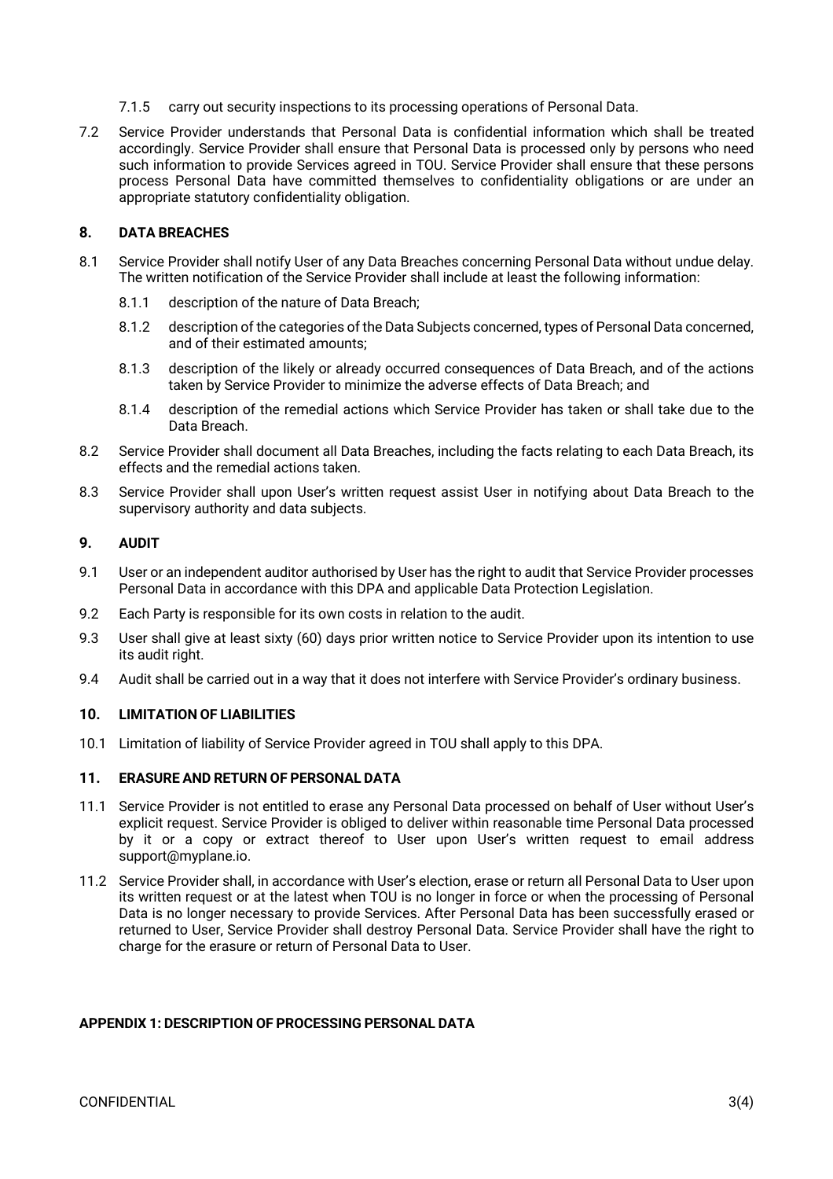- 7.1.5 carry out security inspections to its processing operations of Personal Data.
- 7.2 Service Provider understands that Personal Data is confidential information which shall be treated accordingly. Service Provider shall ensure that Personal Data is processed only by persons who need such information to provide Services agreed in TOU. Service Provider shall ensure that these persons process Personal Data have committed themselves to confidentiality obligations or are under an appropriate statutory confidentiality obligation.

## **8. DATA BREACHES**

- 8.1 Service Provider shall notify User of any Data Breaches concerning Personal Data without undue delay. The written notification of the Service Provider shall include at least the following information:
	- 8.1.1 description of the nature of Data Breach;
	- 8.1.2 description of the categories of the Data Subjects concerned, types of Personal Data concerned, and of their estimated amounts;
	- 8.1.3 description of the likely or already occurred consequences of Data Breach, and of the actions taken by Service Provider to minimize the adverse effects of Data Breach; and
	- 8.1.4 description of the remedial actions which Service Provider has taken or shall take due to the Data Breach.
- 8.2 Service Provider shall document all Data Breaches, including the facts relating to each Data Breach, its effects and the remedial actions taken.
- 8.3 Service Provider shall upon User's written request assist User in notifying about Data Breach to the supervisory authority and data subjects.

### **9. AUDIT**

- 9.1 User or an independent auditor authorised by User has the right to audit that Service Provider processes Personal Data in accordance with this DPA and applicable Data Protection Legislation.
- 9.2 Each Party is responsible for its own costs in relation to the audit.
- 9.3 User shall give at least sixty (60) days prior written notice to Service Provider upon its intention to use its audit right.
- 9.4 Audit shall be carried out in a way that it does not interfere with Service Provider's ordinary business.

## **10. LIMITATION OF LIABILITIES**

10.1 Limitation of liability of Service Provider agreed in TOU shall apply to this DPA.

### **11. ERASURE AND RETURN OF PERSONAL DATA**

- 11.1 Service Provider is not entitled to erase any Personal Data processed on behalf of User without User's explicit request. Service Provider is obliged to deliver within reasonable time Personal Data processed by it or a copy or extract thereof to User upon User's written request to email address support@myplane.io.
- 11.2 Service Provider shall, in accordance with User's election, erase or return all Personal Data to User upon its written request or at the latest when TOU is no longer in force or when the processing of Personal Data is no longer necessary to provide Services. After Personal Data has been successfully erased or returned to User, Service Provider shall destroy Personal Data. Service Provider shall have the right to charge for the erasure or return of Personal Data to User.

## **APPENDIX 1: DESCRIPTION OF PROCESSING PERSONAL DATA**